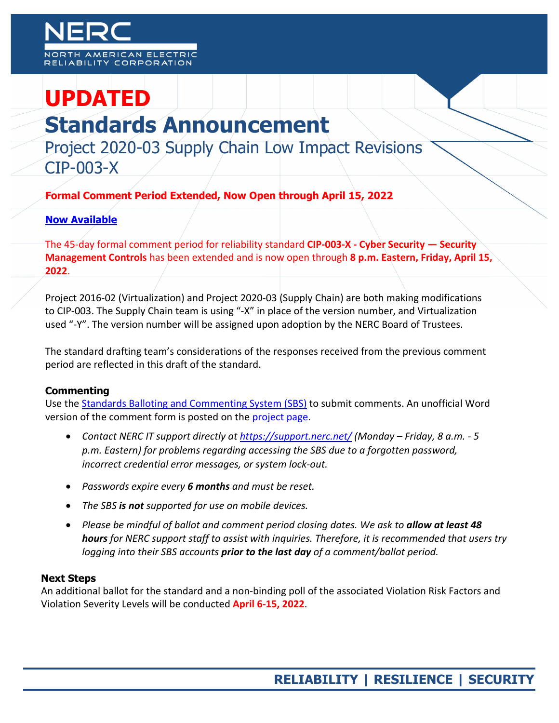# **UPDATED**

## **Standards Announcement**

Project 2020-03 Supply Chain Low Impact Revisions CIP-003-X

**Formal Comment Period Extended, Now Open through April 15, 2022** 

### **[Now Available](https://www.nerc.com/pa/Stand/Pages/Project_2020-03_Supply_Chain_Low_Impact_Revisions.aspx)**

The 45-day formal comment period for reliability standard **CIP-003-X - Cyber Security — Security Management Controls** has been extended and is now open through **8 p.m. Eastern, Friday, April 15, 2022**.

Project 2016-02 (Virtualization) and Project 2020-03 (Supply Chain) are both making modifications to CIP-003. The Supply Chain team is using "-X" in place of the version number, and Virtualization used "-Y". The version number will be assigned upon adoption by the NERC Board of Trustees.

The standard drafting team's considerations of the responses received from the previous comment period are reflected in this draft of the standard.

### **Commenting**

Use the [Standards Balloting and Commenting System \(SBS\)](https://sbs.nerc.net/) to submit comments. An unofficial Word version of the comment form is posted on the [project page.](https://www.nerc.com/pa/Stand/Pages/Project_2020-03_Supply_Chain_Low_Impact_Revisions.aspx)

- *Contact NERC IT support directly at <https://support.nerc.net/> (Monday – Friday, 8 a.m. - 5*  p.m. Eastern) for problems regarding accessing the SBS due to a forgotten password, *incorrect credential error messages, or system lock-out.*
- *Passwords expire every 6 months and must be reset.*
- *The SBS is not supported for use on mobile devices.*
- *Please be mindful of ballot and comment period closing dates. We ask to allow at least 48 hours for NERC support staff to assist with inquiries. Therefore, it is recommended that users try logging into their SBS accounts prior to the last day of a comment/ballot period.*

#### **Next Steps**

An additional ballot for the standard and a non-binding poll of the associated Violation Risk Factors and Violation Severity Levels will be conducted **April 6-15, 2022**.